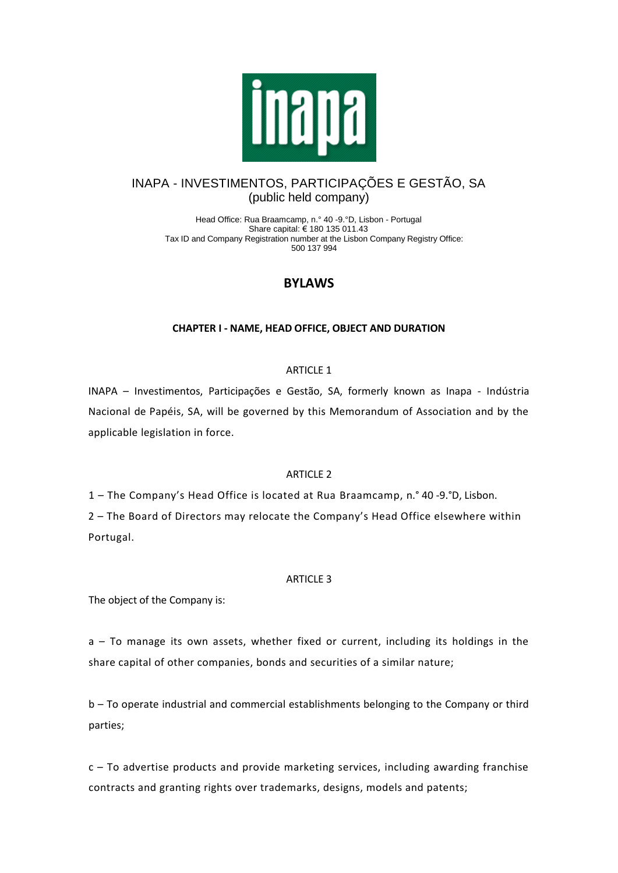

## INAPA - INVESTIMENTOS, PARTICIPAÇÕES E GESTÃO, SA (public held company)

Head Office: Rua Braamcamp, n.° 40 -9.°D, Lisbon - Portugal Share capital: € 180 135 011.43 Tax ID and Company Registration number at the Lisbon Company Registry Office: 500 137 994

## **BYLAWS**

## **CHAPTER I - NAME, HEAD OFFICE, OBJECT AND DURATION**

## ARTICLE 1

INAPA – Investimentos, Participações e Gestão, SA, formerly known as Inapa - Indústria Nacional de Papéis, SA, will be governed by this Memorandum of Association and by the applicable legislation in force.

## ARTICLE 2

1 – The Company's Head Office is located at Rua Braamcamp, n.° 40 -9.°D, Lisbon.

2 – The Board of Directors may relocate the Company's Head Office elsewhere within Portugal.

## ARTICLE 3

The object of the Company is:

a – To manage its own assets, whether fixed or current, including its holdings in the share capital of other companies, bonds and securities of a similar nature;

b – To operate industrial and commercial establishments belonging to the Company or third parties;

c – To advertise products and provide marketing services, including awarding franchise contracts and granting rights over trademarks, designs, models and patents;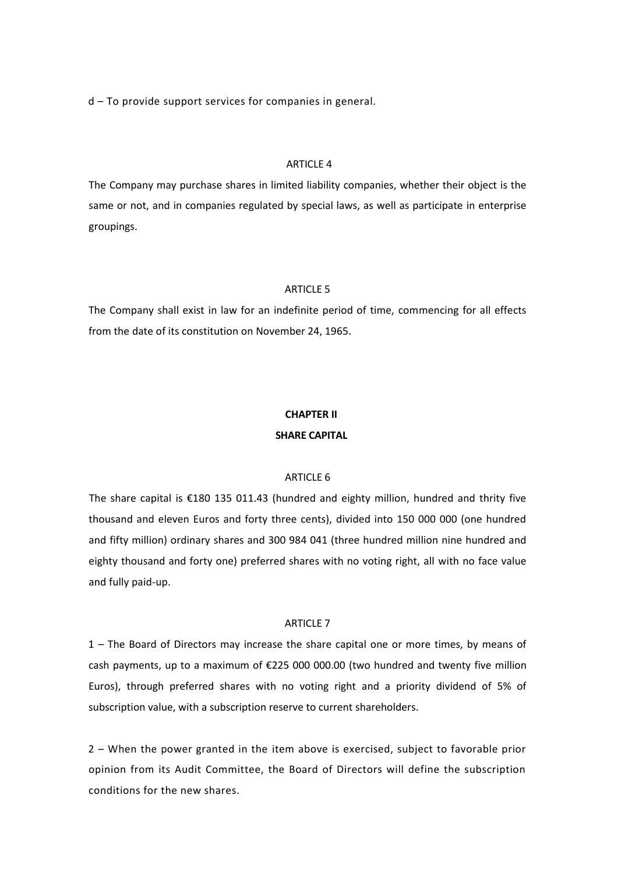d – To provide support services for companies in general.

## ARTICLE 4

The Company may purchase shares in limited liability companies, whether their object is the same or not, and in companies regulated by special laws, as well as participate in enterprise groupings.

## ARTICLE 5

The Company shall exist in law for an indefinite period of time, commencing for all effects from the date of its constitution on November 24, 1965.

# **CHAPTER II SHARE CAPITAL**

#### ARTICLE 6

The share capital is €180 135 011.43 (hundred and eighty million, hundred and thrity five thousand and eleven Euros and forty three cents), divided into 150 000 000 (one hundred and fifty million) ordinary shares and 300 984 041 (three hundred million nine hundred and eighty thousand and forty one) preferred shares with no voting right, all with no face value and fully paid-up.

### **ARTICLE 7**

1 – The Board of Directors may increase the share capital one or more times, by means of cash payments, up to a maximum of €225 000 000.00 (two hundred and twenty five million Euros), through preferred shares with no voting right and a priority dividend of 5% of subscription value, with a subscription reserve to current shareholders.

2 – When the power granted in the item above is exercised, subject to favorable prior opinion from its Audit Committee, the Board of Directors will define the subscription conditions for the new shares.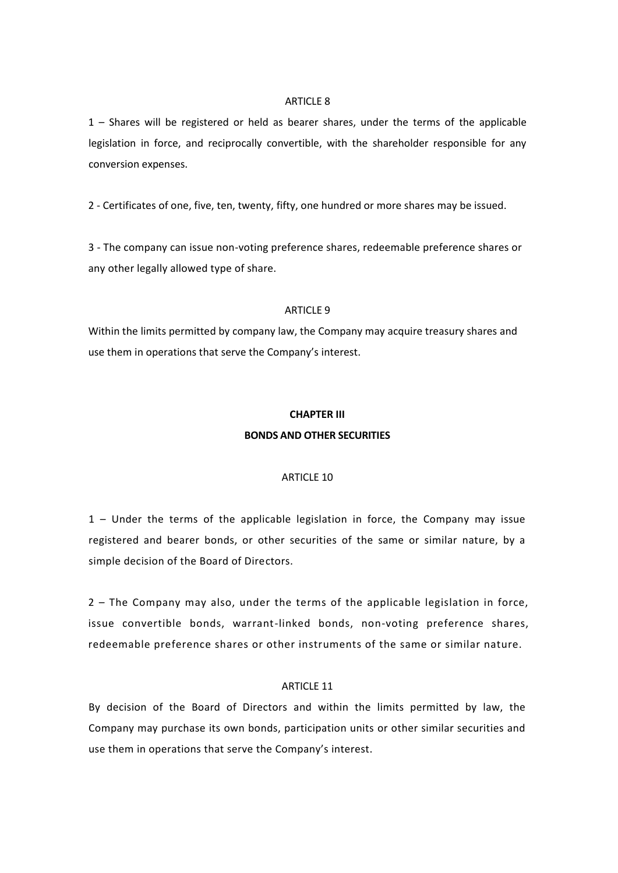#### ARTICLE 8

1 – Shares will be registered or held as bearer shares, under the terms of the applicable legislation in force, and reciprocally convertible, with the shareholder responsible for any conversion expenses.

2 - Certificates of one, five, ten, twenty, fifty, one hundred or more shares may be issued.

3 - The company can issue non-voting preference shares, redeemable preference shares or any other legally allowed type of share.

#### ARTICLE 9

Within the limits permitted by company law, the Company may acquire treasury shares and use them in operations that serve the Company's interest.

# **CHAPTER III BONDS AND OTHER SECURITIES**

#### ARTICLE 10

1 – Under the terms of the applicable legislation in force, the Company may issue registered and bearer bonds, or other securities of the same or similar nature, by a simple decision of the Board of Directors.

2 – The Company may also, under the terms of the applicable legislation in force, issue convertible bonds, warrant-linked bonds, non-voting preference shares, redeemable preference shares or other instruments of the same or similar nature.

#### ARTICLE 11

By decision of the Board of Directors and within the limits permitted by law, the Company may purchase its own bonds, participation units or other similar securities and use them in operations that serve the Company's interest.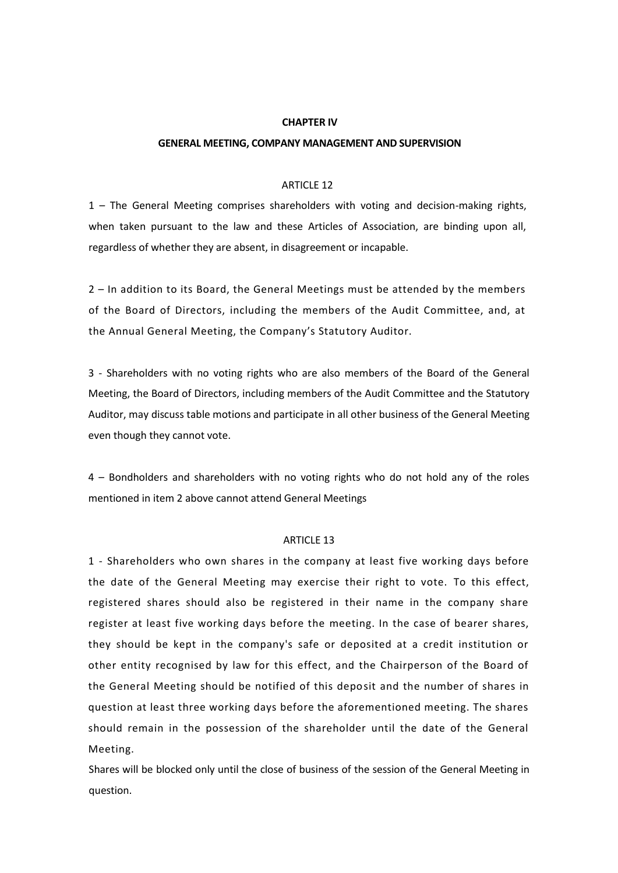#### **CHAPTER IV**

#### **GENERAL MEETING, COMPANY MANAGEMENT AND SUPERVISION**

#### ARTICLE 12

1 – The General Meeting comprises shareholders with voting and decision-making rights, when taken pursuant to the law and these Articles of Association, are binding upon all, regardless of whether they are absent, in disagreement or incapable.

2 – In addition to its Board, the General Meetings must be attended by the members of the Board of Directors, including the members of the Audit Committee, and, at the Annual General Meeting, the Company's Statutory Auditor.

3 - Shareholders with no voting rights who are also members of the Board of the General Meeting, the Board of Directors, including members of the Audit Committee and the Statutory Auditor, may discuss table motions and participate in all other business of the General Meeting even though they cannot vote.

4 – Bondholders and shareholders with no voting rights who do not hold any of the roles mentioned in item 2 above cannot attend General Meetings

#### ARTICLE 13

1 - Shareholders who own shares in the company at least five working days before the date of the General Meeting may exercise their right to vote. To this effect, registered shares should also be registered in their name in the company share register at least five working days before the meeting. In the case of bearer shares, they should be kept in the company's safe or deposited at a credit institution or other entity recognised by law for this effect, and the Chairperson of the Board of the General Meeting should be notified of this deposit and the number of shares in question at least three working days before the aforementioned meeting. The shares should remain in the possession of the shareholder until the date of the General Meeting.

Shares will be blocked only until the close of business of the session of the General Meeting in question.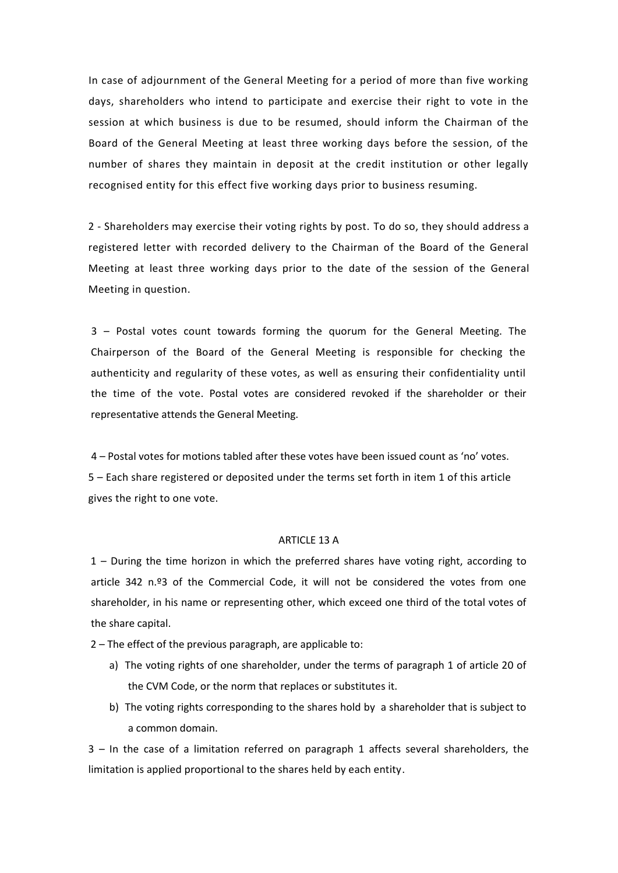In case of adjournment of the General Meeting for a period of more than five working days, shareholders who intend to participate and exercise their right to vote in the session at which business is due to be resumed, should inform the Chairman of the Board of the General Meeting at least three working days before the session, of the number of shares they maintain in deposit at the credit institution or other legally recognised entity for this effect five working days prior to business resuming.

2 - Shareholders may exercise their voting rights by post. To do so, they should address a registered letter with recorded delivery to the Chairman of the Board of the General Meeting at least three working days prior to the date of the session of the General Meeting in question.

3 – Postal votes count towards forming the quorum for the General Meeting. The Chairperson of the Board of the General Meeting is responsible for checking the authenticity and regularity of these votes, as well as ensuring their confidentiality until the time of the vote. Postal votes are considered revoked if the shareholder or their representative attends the General Meeting.

4 – Postal votes for motions tabled after these votes have been issued count as 'no' votes. 5 – Each share registered or deposited under the terms set forth in item 1 of this article gives the right to one vote.

## ARTICLE 13 A

1 – During the time horizon in which the preferred shares have voting right, according to article 342 n.º3 of the Commercial Code, it will not be considered the votes from one shareholder, in his name or representing other, which exceed one third of the total votes of the share capital.

2 – The effect of the previous paragraph, are applicable to:

- a) The voting rights of one shareholder, under the terms of paragraph 1 of article 20 of the CVM Code, or the norm that replaces or substitutes it.
- b) The voting rights corresponding to the shares hold by a shareholder that is subject to a common domain.

3 – In the case of a limitation referred on paragraph 1 affects several shareholders, the limitation is applied proportional to the shares held by each entity.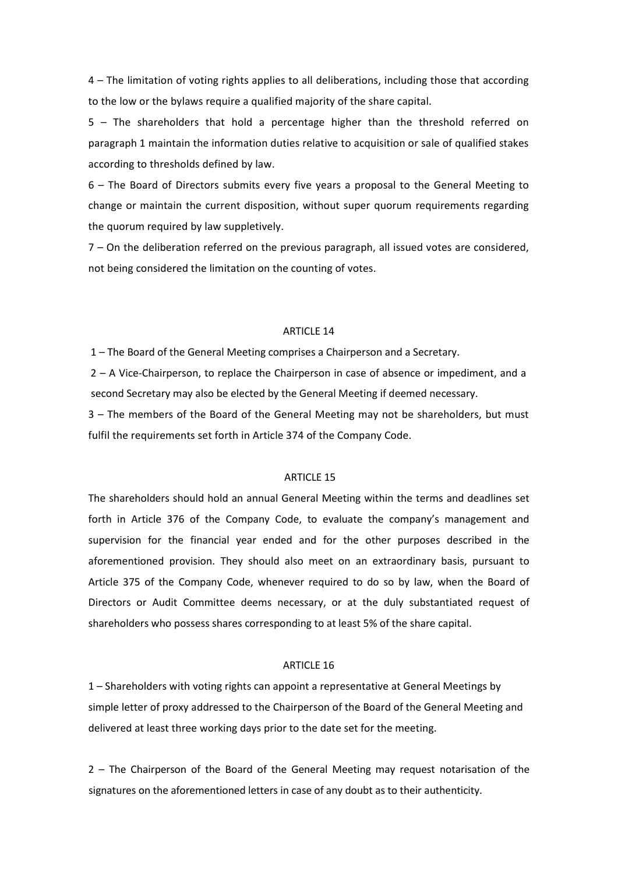4 – The limitation of voting rights applies to all deliberations, including those that according to the low or the bylaws require a qualified majority of the share capital.

5 – The shareholders that hold a percentage higher than the threshold referred on paragraph 1 maintain the information duties relative to acquisition or sale of qualified stakes according to thresholds defined by law.

6 – The Board of Directors submits every five years a proposal to the General Meeting to change or maintain the current disposition, without super quorum requirements regarding the quorum required by law suppletively.

7 – On the deliberation referred on the previous paragraph, all issued votes are considered, not being considered the limitation on the counting of votes.

#### ARTICLE 14

1 – The Board of the General Meeting comprises a Chairperson and a Secretary.

2 – A Vice-Chairperson, to replace the Chairperson in case of absence or impediment, and a second Secretary may also be elected by the General Meeting if deemed necessary.

3 – The members of the Board of the General Meeting may not be shareholders, but must fulfil the requirements set forth in Article 374 of the Company Code.

#### ARTICLE 15

The shareholders should hold an annual General Meeting within the terms and deadlines set forth in Article 376 of the Company Code, to evaluate the company's management and supervision for the financial year ended and for the other purposes described in the aforementioned provision. They should also meet on an extraordinary basis, pursuant to Article 375 of the Company Code, whenever required to do so by law, when the Board of Directors or Audit Committee deems necessary, or at the duly substantiated request of shareholders who possess shares corresponding to at least 5% of the share capital.

#### ARTICLE 16

1 – Shareholders with voting rights can appoint a representative at General Meetings by simple letter of proxy addressed to the Chairperson of the Board of the General Meeting and delivered at least three working days prior to the date set for the meeting.

2 – The Chairperson of the Board of the General Meeting may request notarisation of the signatures on the aforementioned letters in case of any doubt as to their authenticity.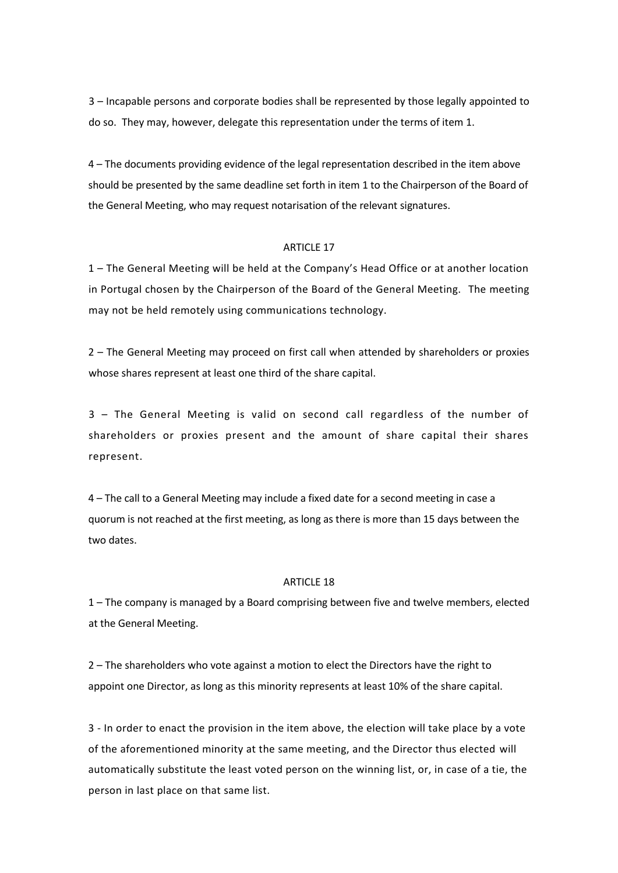3 – Incapable persons and corporate bodies shall be represented by those legally appointed to do so. They may, however, delegate this representation under the terms of item 1.

4 – The documents providing evidence of the legal representation described in the item above should be presented by the same deadline set forth in item 1 to the Chairperson of the Board of the General Meeting, who may request notarisation of the relevant signatures.

#### ARTICLE 17

1 – The General Meeting will be held at the Company's Head Office or at another location in Portugal chosen by the Chairperson of the Board of the General Meeting. The meeting may not be held remotely using communications technology.

2 – The General Meeting may proceed on first call when attended by shareholders or proxies whose shares represent at least one third of the share capital.

3 – The General Meeting is valid on second call regardless of the number of shareholders or proxies present and the amount of share capital their shares represent.

4 – The call to a General Meeting may include a fixed date for a second meeting in case a quorum is not reached at the first meeting, as long as there is more than 15 days between the two dates.

#### ARTICLE 18

1 – The company is managed by a Board comprising between five and twelve members, elected at the General Meeting.

2 – The shareholders who vote against a motion to elect the Directors have the right to appoint one Director, as long as this minority represents at least 10% of the share capital.

3 - In order to enact the provision in the item above, the election will take place by a vote of the aforementioned minority at the same meeting, and the Director thus elected will automatically substitute the least voted person on the winning list, or, in case of a tie, the person in last place on that same list.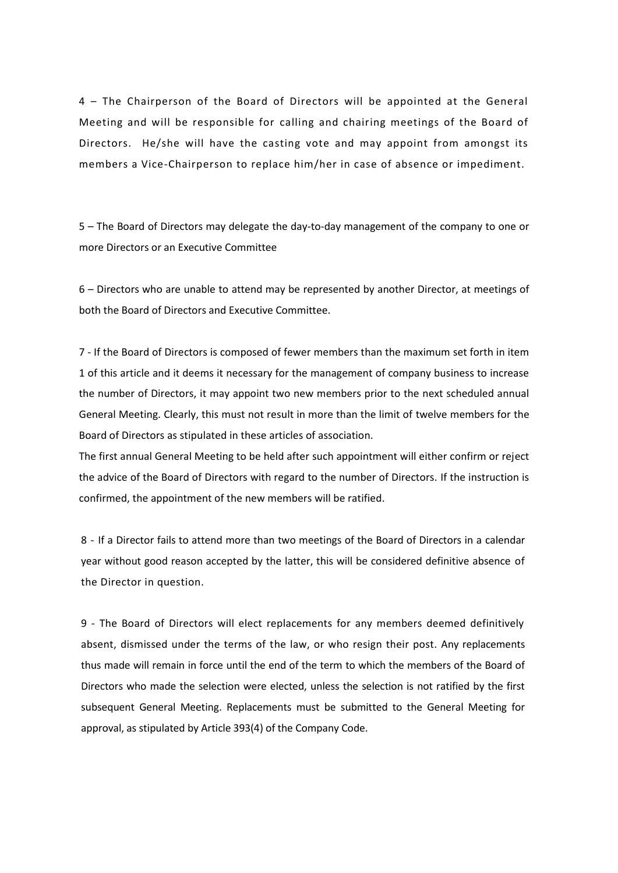4 – The Chairperson of the Board of Directors will be appointed at the General Meeting and will be responsible for calling and chairing meetings of the Board of Directors. He/she will have the casting vote and may appoint from amongst its members a Vice-Chairperson to replace him/her in case of absence or impediment.

5 – The Board of Directors may delegate the day-to-day management of the company to one or more Directors or an Executive Committee

6 – Directors who are unable to attend may be represented by another Director, at meetings of both the Board of Directors and Executive Committee.

7 - If the Board of Directors is composed of fewer members than the maximum set forth in item 1 of this article and it deems it necessary for the management of company business to increase the number of Directors, it may appoint two new members prior to the next scheduled annual General Meeting. Clearly, this must not result in more than the limit of twelve members for the Board of Directors as stipulated in these articles of association.

The first annual General Meeting to be held after such appointment will either confirm or reject the advice of the Board of Directors with regard to the number of Directors. If the instruction is confirmed, the appointment of the new members will be ratified.

8 - If a Director fails to attend more than two meetings of the Board of Directors in a calendar year without good reason accepted by the latter, this will be considered definitive absence of the Director in question.

9 - The Board of Directors will elect replacements for any members deemed definitively absent, dismissed under the terms of the law, or who resign their post. Any replacements thus made will remain in force until the end of the term to which the members of the Board of Directors who made the selection were elected, unless the selection is not ratified by the first subsequent General Meeting. Replacements must be submitted to the General Meeting for approval, as stipulated by Article 393(4) of the Company Code.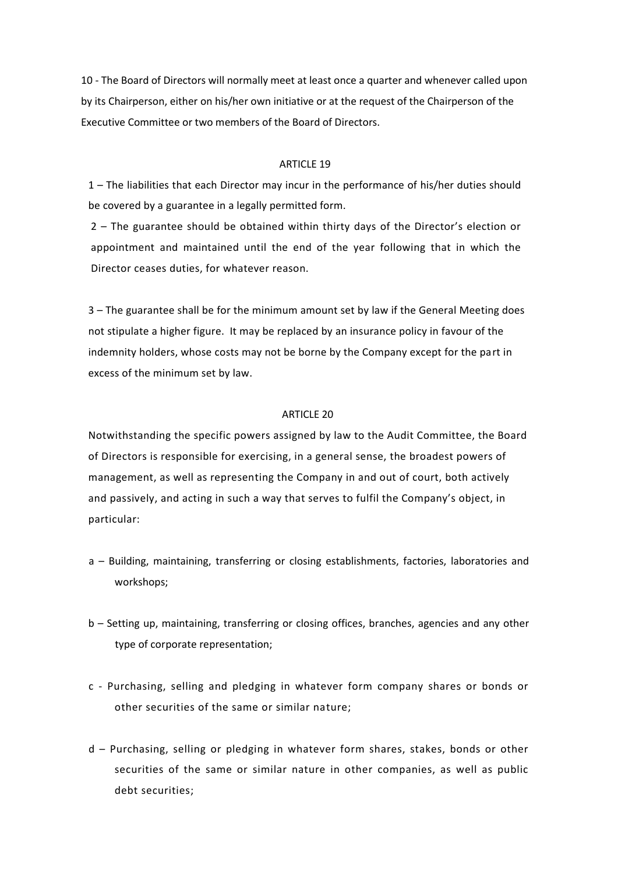10 - The Board of Directors will normally meet at least once a quarter and whenever called upon by its Chairperson, either on his/her own initiative or at the request of the Chairperson of the Executive Committee or two members of the Board of Directors.

## ARTICLE 19

1 – The liabilities that each Director may incur in the performance of his/her duties should be covered by a guarantee in a legally permitted form.

2 – The guarantee should be obtained within thirty days of the Director's election or appointment and maintained until the end of the year following that in which the Director ceases duties, for whatever reason.

3 – The guarantee shall be for the minimum amount set by law if the General Meeting does not stipulate a higher figure. It may be replaced by an insurance policy in favour of the indemnity holders, whose costs may not be borne by the Company except for the part in excess of the minimum set by law.

### ARTICLE 20

Notwithstanding the specific powers assigned by law to the Audit Committee, the Board of Directors is responsible for exercising, in a general sense, the broadest powers of management, as well as representing the Company in and out of court, both actively and passively, and acting in such a way that serves to fulfil the Company's object, in particular:

- a Building, maintaining, transferring or closing establishments, factories, laboratories and workshops;
- b Setting up, maintaining, transferring or closing offices, branches, agencies and any other type of corporate representation;
- c Purchasing, selling and pledging in whatever form company shares or bonds or other securities of the same or similar nature;
- d Purchasing, selling or pledging in whatever form shares, stakes, bonds or other securities of the same or similar nature in other companies, as well as public debt securities;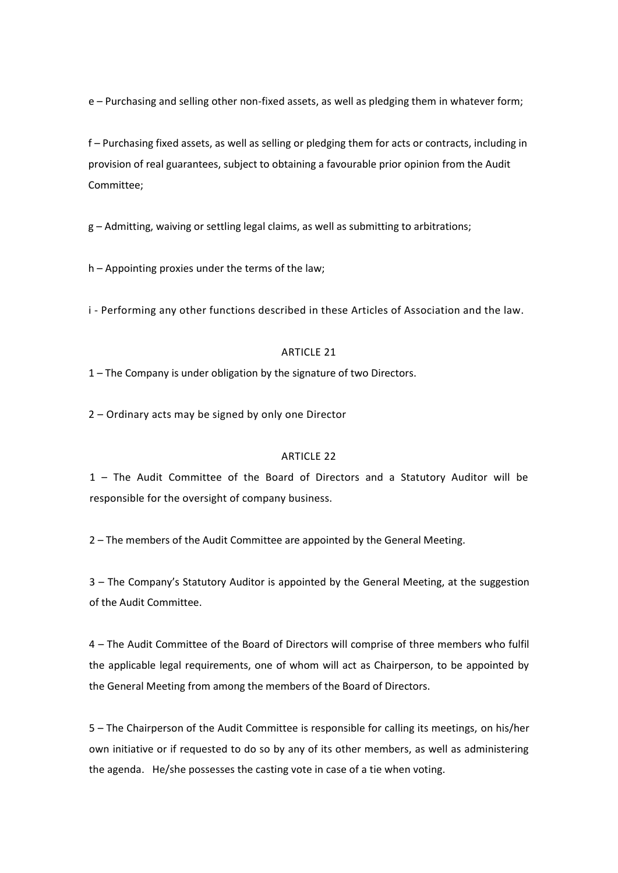e – Purchasing and selling other non-fixed assets, as well as pledging them in whatever form;

f – Purchasing fixed assets, as well as selling or pledging them for acts or contracts, including in provision of real guarantees, subject to obtaining a favourable prior opinion from the Audit Committee;

g – Admitting, waiving or settling legal claims, as well as submitting to arbitrations;

h – Appointing proxies under the terms of the law;

i - Performing any other functions described in these Articles of Association and the law.

### ARTICLE 21

1 – The Company is under obligation by the signature of two Directors.

2 – Ordinary acts may be signed by only one Director

## ARTICLE 22

1 – The Audit Committee of the Board of Directors and a Statutory Auditor will be responsible for the oversight of company business.

2 – The members of the Audit Committee are appointed by the General Meeting.

3 – The Company's Statutory Auditor is appointed by the General Meeting, at the suggestion of the Audit Committee.

4 – The Audit Committee of the Board of Directors will comprise of three members who fulfil the applicable legal requirements, one of whom will act as Chairperson, to be appointed by the General Meeting from among the members of the Board of Directors.

5 – The Chairperson of the Audit Committee is responsible for calling its meetings, on his/her own initiative or if requested to do so by any of its other members, as well as administering the agenda. He/she possesses the casting vote in case of a tie when voting.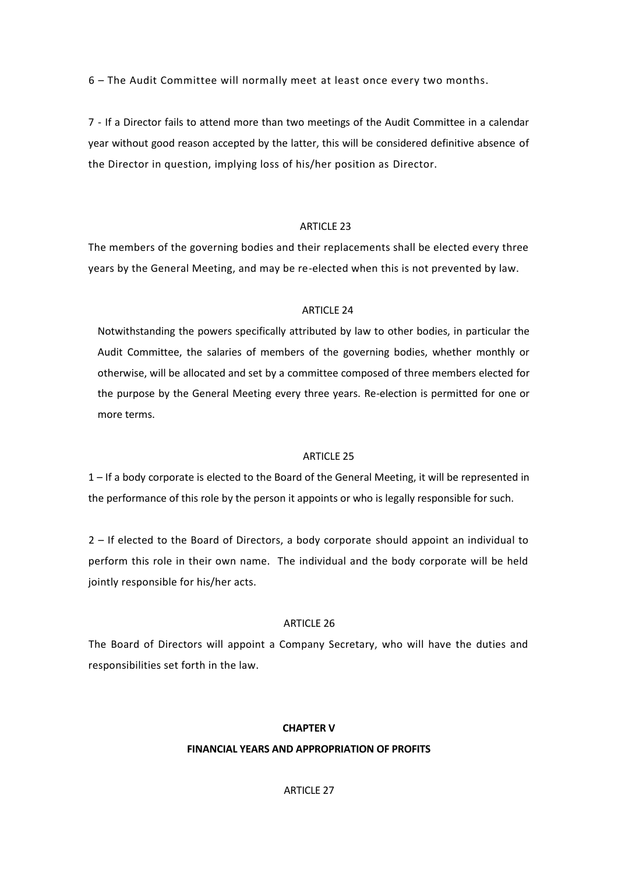6 – The Audit Committee will normally meet at least once every two months.

7 - If a Director fails to attend more than two meetings of the Audit Committee in a calendar year without good reason accepted by the latter, this will be considered definitive absence of the Director in question, implying loss of his/her position as Director.

## ARTICLE 23

The members of the governing bodies and their replacements shall be elected every three years by the General Meeting, and may be re-elected when this is not prevented by law.

## ARTICLE 24

Notwithstanding the powers specifically attributed by law to other bodies, in particular the Audit Committee, the salaries of members of the governing bodies, whether monthly or otherwise, will be allocated and set by a committee composed of three members elected for the purpose by the General Meeting every three years. Re-election is permitted for one or more terms.

## ARTICLE 25

1 – If a body corporate is elected to the Board of the General Meeting, it will be represented in the performance of this role by the person it appoints or who is legally responsible for such.

2 – If elected to the Board of Directors, a body corporate should appoint an individual to perform this role in their own name. The individual and the body corporate will be held jointly responsible for his/her acts.

## ARTICLE 26

The Board of Directors will appoint a Company Secretary, who will have the duties and responsibilities set forth in the law.

## **CHAPTER V**

## **FINANCIAL YEARS AND APPROPRIATION OF PROFITS**

## ARTICLE 27